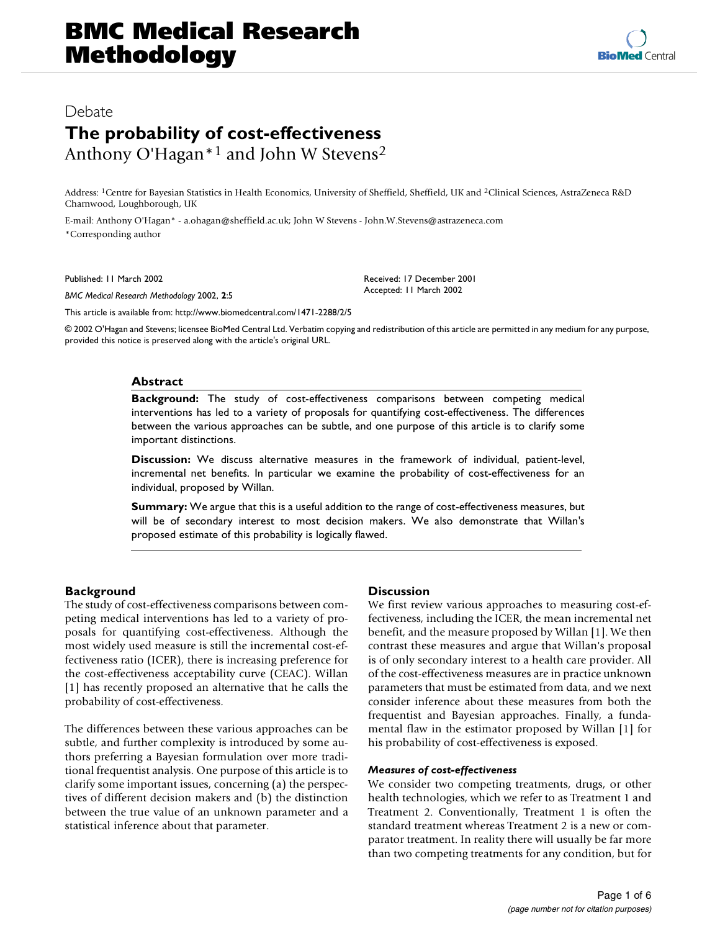# Bebate Research Methodology 2002, 2002, 2002, 2002, 2002, 2002, 2002, 2002, 2002, 2002, 2002, 2002, 2002, 2002 **The probability of cost-effectiveness** Anthony O'Hagan\*1 and John W Stevens2

Address: 1Centre for Bayesian Statistics in Health Economics, University of Sheffield, Sheffield, UK and 2Clinical Sciences, AstraZeneca R&D Charnwood, Loughborough, UK

E-mail: Anthony O'Hagan\* - a.ohagan@sheffield.ac.uk; John W Stevens - John.W.Stevens@astrazeneca.com \*Corresponding author

Published: 11 March 2002

*BMC Medical Research Methodology* 2002, **2**:5

[This article is available from: http://www.biomedcentral.com/1471-2288/2/5](http://www.biomedcentral.com/1471-2288/2/5)

© 2002 O'Hagan and Stevens; licensee BioMed Central Ltd. Verbatim copying and redistribution of this article are permitted in any medium for any purpose, provided this notice is preserved along with the article's original URL.

Received: 17 December 2001 Accepted: 11 March 2002

#### **Abstract**

**Background:** The study of cost-effectiveness comparisons between competing medical interventions has led to a variety of proposals for quantifying cost-effectiveness. The differences between the various approaches can be subtle, and one purpose of this article is to clarify some important distinctions.

**Discussion:** We discuss alternative measures in the framework of individual, patient-level, incremental net benefits. In particular we examine the probability of cost-effectiveness for an individual, proposed by Willan.

**Summary:** We argue that this is a useful addition to the range of cost-effectiveness measures, but will be of secondary interest to most decision makers. We also demonstrate that Willan's proposed estimate of this probability is logically flawed.

# **Background**

The study of cost-effectiveness comparisons between competing medical interventions has led to a variety of proposals for quantifying cost-effectiveness. Although the most widely used measure is still the incremental cost-effectiveness ratio (ICER), there is increasing preference for the cost-effectiveness acceptability curve (CEAC). Willan [1] has recently proposed an alternative that he calls the probability of cost-effectiveness.

The differences between these various approaches can be subtle, and further complexity is introduced by some authors preferring a Bayesian formulation over more traditional frequentist analysis. One purpose of this article is to clarify some important issues, concerning (a) the perspectives of different decision makers and (b) the distinction between the true value of an unknown parameter and a statistical inference about that parameter.

## **Discussion**

We first review various approaches to measuring cost-effectiveness, including the ICER, the mean incremental net benefit, and the measure proposed by Willan [1]. We then contrast these measures and argue that Willan's proposal is of only secondary interest to a health care provider. All of the cost-effectiveness measures are in practice unknown parameters that must be estimated from data, and we next consider inference about these measures from both the frequentist and Bayesian approaches. Finally, a fundamental flaw in the estimator proposed by Willan [1] for his probability of cost-effectiveness is exposed.

#### *Measures of cost-effectiveness*

We consider two competing treatments, drugs, or other health technologies, which we refer to as Treatment 1 and Treatment 2. Conventionally, Treatment 1 is often the standard treatment whereas Treatment 2 is a new or comparator treatment. In reality there will usually be far more than two competing treatments for any condition, but for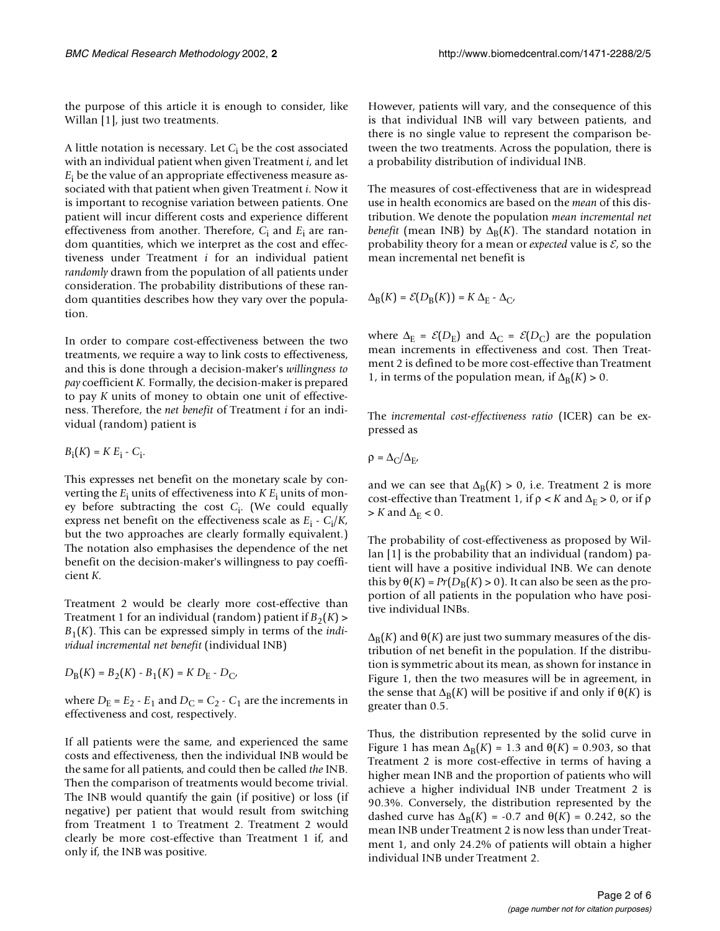the purpose of this article it is enough to consider, like Willan [1], just two treatments.

A little notation is necessary. Let *C*i be the cost associated with an individual patient when given Treatment *i*, and let *E*i be the value of an appropriate effectiveness measure associated with that patient when given Treatment *i.* Now it is important to recognise variation between patients. One patient will incur different costs and experience different effectiveness from another. Therefore, *C*<sup>i</sup> and *E*<sup>i</sup> are random quantities, which we interpret as the cost and effectiveness under Treatment *i* for an individual patient *randomly* drawn from the population of all patients under consideration. The probability distributions of these random quantities describes how they vary over the population.

In order to compare cost-effectiveness between the two treatments, we require a way to link costs to effectiveness, and this is done through a decision-maker's *willingness to pay* coefficient *K.* Formally, the decision-maker is prepared to pay *K* units of money to obtain one unit of effectiveness. Therefore, the *net benefit* of Treatment *i* for an individual (random) patient is

$$
B_i(K) = K E_i - C_i.
$$

This expresses net benefit on the monetary scale by converting the *E*<sup>i</sup> units of effectiveness into *K E*<sup>i</sup> units of money before subtracting the cost *C*<sup>i</sup> . (We could equally express net benefit on the effectiveness scale as  $E_i$  -  $C_i/K$ , but the two approaches are clearly formally equivalent.) The notation also emphasises the dependence of the net benefit on the decision-maker's willingness to pay coefficient *K.*

Treatment 2 would be clearly more cost-effective than Treatment 1 for an individual (random) patient if  $B_2(K)$  > *B*1(*K*). This can be expressed simply in terms of the *individual incremental net benefit* (individual INB)

$$
D_{\rm B}(K) = B_2(K) - B_1(K) = K D_{\rm E} - D_{\rm C'}
$$

where  $D_E = E_2 - E_1$  and  $D_C = C_2 - C_1$  are the increments in effectiveness and cost, respectively.

If all patients were the same, and experienced the same costs and effectiveness, then the individual INB would be the same for all patients, and could then be called *the* INB. Then the comparison of treatments would become trivial. The INB would quantify the gain (if positive) or loss (if negative) per patient that would result from switching from Treatment 1 to Treatment 2. Treatment 2 would clearly be more cost-effective than Treatment 1 if, and only if, the INB was positive.

However, patients will vary, and the consequence of this is that individual INB will vary between patients, and there is no single value to represent the comparison between the two treatments. Across the population, there is a probability distribution of individual INB.

The measures of cost-effectiveness that are in widespread use in health economics are based on the *mean* of this distribution. We denote the population *mean incremental net benefit* (mean INB) by  $\Delta_B(K)$ . The standard notation in probability theory for a mean or *expected* value is  $\mathcal{E}$ , so the mean incremental net benefit is

$$
\Delta_{\rm B}(K) = \mathcal{E}(D_{\rm B}(K)) = K \Delta_{\rm E} \cdot \Delta_{\rm C'}
$$

where  $\Delta_E = \mathcal{E}(D_E)$  and  $\Delta_C = \mathcal{E}(D_C)$  are the population mean increments in effectiveness and cost. Then Treatment 2 is defined to be more cost-effective than Treatment 1, in terms of the population mean, if  $\Delta_B(K) > 0$ .

The *incremental cost-effectiveness ratio* (ICER) can be expressed as

$$
\rho = \Delta_C / \Delta_{E'}
$$

and we can see that  $\Delta_B(K) > 0$ , i.e. Treatment 2 is more cost-effective than Treatment 1, if  $\rho < K$  and  $\Delta_E > 0$ , or if  $\rho$  $> K$  and  $\Delta_{\rm E} < 0$ .

The probability of cost-effectiveness as proposed by Willan [1] is the probability that an individual (random) patient will have a positive individual INB. We can denote this by  $\Theta(K) = Pr(D_B(K) > 0)$ . It can also be seen as the proportion of all patients in the population who have positive individual INBs.

 $\Delta_B(K)$  and  $\Theta(K)$  are just two summary measures of the distribution of net benefit in the population. If the distribution is symmetric about its mean, as shown for instance in Figure 1, then the two measures will be in agreement, in the sense that  $\Delta_B(K)$  will be positive if and only if  $\Theta(K)$  is greater than 0.5.

Thus, the distribution represented by the solid curve in Figure 1 has mean  $\Delta_B(K) = 1.3$  and  $\theta(K) = 0.903$ , so that Treatment 2 is more cost-effective in terms of having a higher mean INB and the proportion of patients who will achieve a higher individual INB under Treatment 2 is 90.3%. Conversely, the distribution represented by the dashed curve has  $\Delta_B(K)$  = -0.7 and  $\theta(K)$  = 0.242, so the mean INB under Treatment 2 is now less than under Treatment 1, and only 24.2% of patients will obtain a higher individual INB under Treatment 2.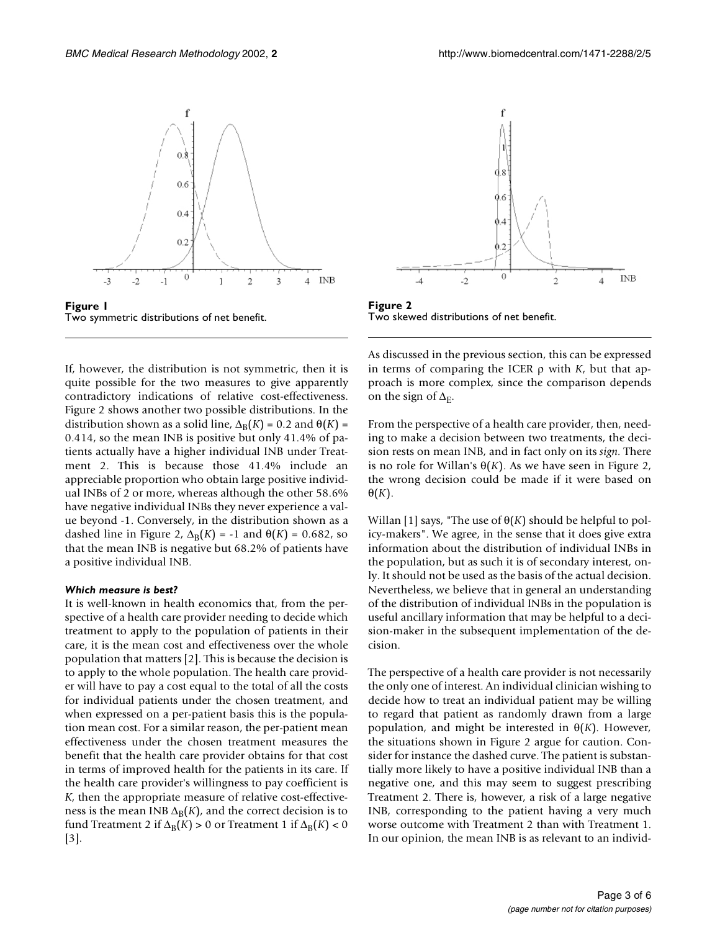

**Figure 1** Two symmetric distributions of net benefit.

If, however, the distribution is not symmetric, then it is quite possible for the two measures to give apparently contradictory indications of relative cost-effectiveness. Figure 2 shows another two possible distributions. In the distribution shown as a solid line,  $\Delta_B(K) = 0.2$  and  $\Theta(K) =$ 0.414, so the mean INB is positive but only 41.4% of patients actually have a higher individual INB under Treatment 2. This is because those 41.4% include an appreciable proportion who obtain large positive individual INBs of 2 or more, whereas although the other 58.6% have negative individual INBs they never experience a value beyond -1. Conversely, in the distribution shown as a dashed line in Figure 2,  $\Delta_B(K) = -1$  and  $\Theta(K) = 0.682$ , so that the mean INB is negative but 68.2% of patients have a positive individual INB.

## *Which measure is best?*

It is well-known in health economics that, from the perspective of a health care provider needing to decide which treatment to apply to the population of patients in their care, it is the mean cost and effectiveness over the whole population that matters [2]. This is because the decision is to apply to the whole population. The health care provider will have to pay a cost equal to the total of all the costs for individual patients under the chosen treatment, and when expressed on a per-patient basis this is the population mean cost. For a similar reason, the per-patient mean effectiveness under the chosen treatment measures the benefit that the health care provider obtains for that cost in terms of improved health for the patients in its care. If the health care provider's willingness to pay coefficient is *K*, then the appropriate measure of relative cost-effectiveness is the mean INB  $\Delta_B(K)$ , and the correct decision is to fund Treatment 2 if  $\Delta_B(K) > 0$  or Treatment 1 if  $\Delta_B(K) < 0$ [3].



**Figure 2** Two skewed distributions of net benefit.

As discussed in the previous section, this can be expressed in terms of comparing the ICER ρ with *K*, but that approach is more complex, since the comparison depends on the sign of  $\Delta_{\rm E}$ .

From the perspective of a health care provider, then, needing to make a decision between two treatments, the decision rests on mean INB, and in fact only on its *sign.* There is no role for Willan's  $\Theta(K)$ . As we have seen in Figure 2, the wrong decision could be made if it were based on  $\Theta(K)$ .

Willan [1] says, "The use of θ(*K*) should be helpful to policy-makers". We agree, in the sense that it does give extra information about the distribution of individual INBs in the population, but as such it is of secondary interest, only. It should not be used as the basis of the actual decision. Nevertheless, we believe that in general an understanding of the distribution of individual INBs in the population is useful ancillary information that may be helpful to a decision-maker in the subsequent implementation of the decision.

The perspective of a health care provider is not necessarily the only one of interest. An individual clinician wishing to decide how to treat an individual patient may be willing to regard that patient as randomly drawn from a large population, and might be interested in θ(*K*). However, the situations shown in Figure 2 argue for caution. Consider for instance the dashed curve. The patient is substantially more likely to have a positive individual INB than a negative one, and this may seem to suggest prescribing Treatment 2. There is, however, a risk of a large negative INB, corresponding to the patient having a very much worse outcome with Treatment 2 than with Treatment 1. In our opinion, the mean INB is as relevant to an individ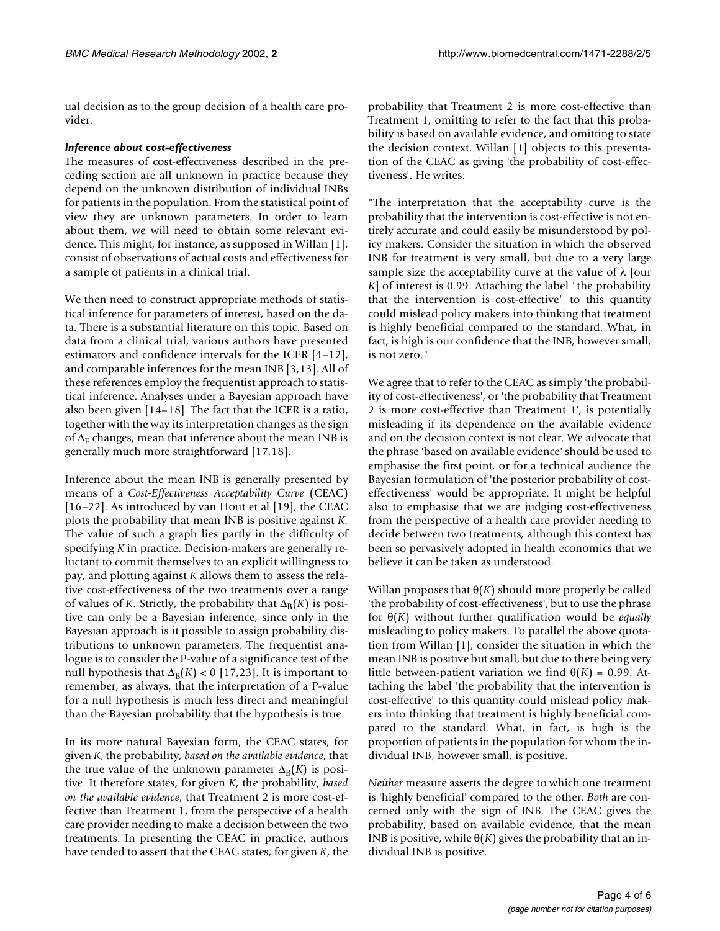ual decision as to the group decision of a health care provider.

#### *Inference about cost-effectiveness*

The measures of cost-effectiveness described in the preceding section are all unknown in practice because they depend on the unknown distribution of individual INBs for patients in the population. From the statistical point of view they are unknown parameters. In order to learn about them, we will need to obtain some relevant evidence. This might, for instance, as supposed in Willan [1], consist of observations of actual costs and effectiveness for a sample of patients in a clinical trial.

We then need to construct appropriate methods of statistical inference for parameters of interest, based on the data. There is a substantial literature on this topic. Based on data from a clinical trial, various authors have presented estimators and confidence intervals for the ICER [4–12], and comparable inferences for the mean INB [3,13]. All of these references employ the frequentist approach to statistical inference. Analyses under a Bayesian approach have also been given [14–18]. The fact that the ICER is a ratio, together with the way its interpretation changes as the sign of  $\Delta_E$  changes, mean that inference about the mean INB is generally much more straightforward [17,18].

Inference about the mean INB is generally presented by means of a *Cost-Effectiveness Acceptability Curve* (CEAC) [16–22]. As introduced by van Hout et al [19], the CEAC plots the probability that mean INB is positive against *K.* The value of such a graph lies partly in the difficulty of specifying *K* in practice. Decision-makers are generally reluctant to commit themselves to an explicit willingness to pay, and plotting against *K* allows them to assess the relative cost-effectiveness of the two treatments over a range of values of *K*. Strictly, the probability that  $\Delta_B(K)$  is positive can only be a Bayesian inference, since only in the Bayesian approach is it possible to assign probability distributions to unknown parameters. The frequentist analogue is to consider the P-value of a significance test of the null hypothesis that  $\Delta_B(K)$  < 0 [17,23]. It is important to remember, as always, that the interpretation of a P-value for a null hypothesis is much less direct and meaningful than the Bayesian probability that the hypothesis is true.

In its more natural Bayesian form, the CEAC states, for given *K*, the probability, *based on the available evidence*, that the true value of the unknown parameter  $\Delta_B(K)$  is positive. It therefore states, for given *K*, the probability, *based on the available evidence*, that Treatment 2 is more cost-effective than Treatment 1, from the perspective of a health care provider needing to make a decision between the two treatments. In presenting the CEAC in practice, authors have tended to assert that the CEAC states, for given *K*, the probability that Treatment 2 is more cost-effective than Treatment 1, omitting to refer to the fact that this probability is based on available evidence, and omitting to state the decision context. Willan [1] objects to this presentation of the CEAC as giving 'the probability of cost-effectiveness'. He writes:

"The interpretation that the acceptability curve is the probability that the intervention is cost-effective is not entirely accurate and could easily be misunderstood by policy makers. Consider the situation in which the observed INB for treatment is very small, but due to a very large sample size the acceptability curve at the value of  $\lambda$  [our *K*] of interest is 0.99. Attaching the label "the probability that the intervention is cost-effective" to this quantity could mislead policy makers into thinking that treatment is highly beneficial compared to the standard. What, in fact, is high is our confidence that the INB, however small, is not zero."

We agree that to refer to the CEAC as simply 'the probability of cost-effectiveness', or 'the probability that Treatment 2 is more cost-effective than Treatment 1', is potentially misleading if its dependence on the available evidence and on the decision context is not clear. We advocate that the phrase 'based on available evidence' should be used to emphasise the first point, or for a technical audience the Bayesian formulation of 'the posterior probability of costeffectiveness' would be appropriate. It might be helpful also to emphasise that we are judging cost-effectiveness from the perspective of a health care provider needing to decide between two treatments, although this context has been so pervasively adopted in health economics that we believe it can be taken as understood.

Willan proposes that  $\theta(K)$  should more properly be called 'the probability of cost-effectiveness', but to use the phrase for θ(*K*) without further qualification would be *equally* misleading to policy makers. To parallel the above quotation from Willan [1], consider the situation in which the mean INB is positive but small, but due to there being very little between-patient variation we find θ(*K*) = 0.99. Attaching the label 'the probability that the intervention is cost-effective' to this quantity could mislead policy makers into thinking that treatment is highly beneficial compared to the standard. What, in fact, is high is the proportion of patients in the population for whom the individual INB, however small, is positive.

*Neither* measure asserts the degree to which one treatment is 'highly beneficial' compared to the other. *Both* are concerned only with the sign of INB. The CEAC gives the probability, based on available evidence, that the mean INB is positive, while  $\theta(K)$  gives the probability that an individual INB is positive.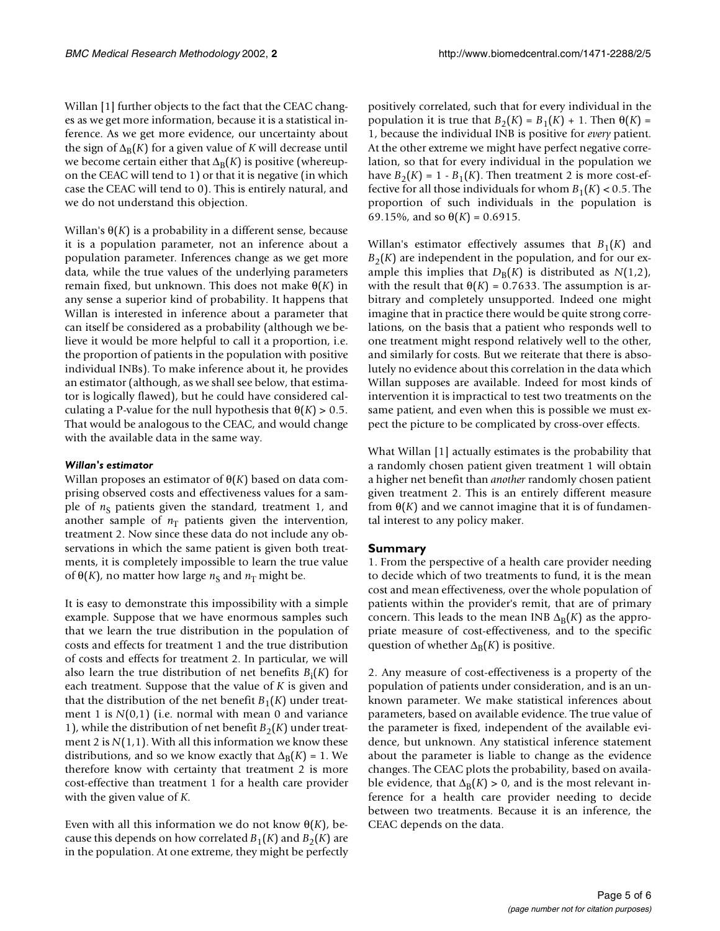Willan [1] further objects to the fact that the CEAC changes as we get more information, because it is a statistical inference. As we get more evidence, our uncertainty about the sign of  $\Delta_B(K)$  for a given value of *K* will decrease until we become certain either that  $\Delta_B(K)$  is positive (whereupon the CEAC will tend to 1) or that it is negative (in which case the CEAC will tend to 0). This is entirely natural, and we do not understand this objection.

Willan's  $\Theta(K)$  is a probability in a different sense, because it is a population parameter, not an inference about a population parameter. Inferences change as we get more data, while the true values of the underlying parameters remain fixed, but unknown. This does not make θ(*K*) in any sense a superior kind of probability. It happens that Willan is interested in inference about a parameter that can itself be considered as a probability (although we believe it would be more helpful to call it a proportion, i.e. the proportion of patients in the population with positive individual INBs). To make inference about it, he provides an estimator (although, as we shall see below, that estimator is logically flawed), but he could have considered calculating a P-value for the null hypothesis that  $\theta(K) > 0.5$ . That would be analogous to the CEAC, and would change with the available data in the same way.

## *Willan's estimator*

Willan proposes an estimator of θ(*K*) based on data comprising observed costs and effectiveness values for a sample of  $n<sub>S</sub>$  patients given the standard, treatment 1, and another sample of  $n<sub>T</sub>$  patients given the intervention, treatment 2. Now since these data do not include any observations in which the same patient is given both treatments, it is completely impossible to learn the true value of  $θ(K)$ , no matter how large *n*<sub>S</sub> and *n*<sub>T</sub> might be.

It is easy to demonstrate this impossibility with a simple example. Suppose that we have enormous samples such that we learn the true distribution in the population of costs and effects for treatment 1 and the true distribution of costs and effects for treatment 2. In particular, we will also learn the true distribution of net benefits *B*<sup>i</sup> (*K*) for each treatment. Suppose that the value of *K* is given and that the distribution of the net benefit  $B_1(K)$  under treatment 1 is *N*(0,1) (i.e. normal with mean 0 and variance 1), while the distribution of net benefit  $B_2(K)$  under treatment 2 is  $N(1,1)$ . With all this information we know these distributions, and so we know exactly that  $\Delta_B(K) = 1$ . We therefore know with certainty that treatment 2 is more cost-effective than treatment 1 for a health care provider with the given value of *K.*

Even with all this information we do not know  $\Theta(K)$ , because this depends on how correlated  $B_1(K)$  and  $B_2(K)$  are in the population. At one extreme, they might be perfectly

positively correlated, such that for every individual in the population it is true that  $B_2(K) = B_1(K) + 1$ . Then  $\Theta(K) =$ 1, because the individual INB is positive for *every* patient. At the other extreme we might have perfect negative correlation, so that for every individual in the population we have  $B_2(K) = 1 - B_1(K)$ . Then treatment 2 is more cost-effective for all those individuals for whom  $B_1(K) < 0.5$ . The proportion of such individuals in the population is 69.15%, and so  $\theta(K) = 0.6915$ .

Willan's estimator effectively assumes that  $B_1(K)$  and  $B<sub>2</sub>(K)$  are independent in the population, and for our example this implies that  $D_B(K)$  is distributed as  $N(1,2)$ , with the result that  $\theta(K) = 0.7633$ . The assumption is arbitrary and completely unsupported. Indeed one might imagine that in practice there would be quite strong correlations, on the basis that a patient who responds well to one treatment might respond relatively well to the other, and similarly for costs. But we reiterate that there is absolutely no evidence about this correlation in the data which Willan supposes are available. Indeed for most kinds of intervention it is impractical to test two treatments on the same patient, and even when this is possible we must expect the picture to be complicated by cross-over effects.

What Willan [1] actually estimates is the probability that a randomly chosen patient given treatment 1 will obtain a higher net benefit than *another* randomly chosen patient given treatment 2. This is an entirely different measure from  $\Theta(K)$  and we cannot imagine that it is of fundamental interest to any policy maker.

# **Summary**

1. From the perspective of a health care provider needing to decide which of two treatments to fund, it is the mean cost and mean effectiveness, over the whole population of patients within the provider's remit, that are of primary concern. This leads to the mean INB  $\Delta_B(K)$  as the appropriate measure of cost-effectiveness, and to the specific question of whether  $\Delta_B(K)$  is positive.

2. Any measure of cost-effectiveness is a property of the population of patients under consideration, and is an unknown parameter. We make statistical inferences about parameters, based on available evidence. The true value of the parameter is fixed, independent of the available evidence, but unknown. Any statistical inference statement about the parameter is liable to change as the evidence changes. The CEAC plots the probability, based on available evidence, that  $\Delta_B(K) > 0$ , and is the most relevant inference for a health care provider needing to decide between two treatments. Because it is an inference, the CEAC depends on the data.